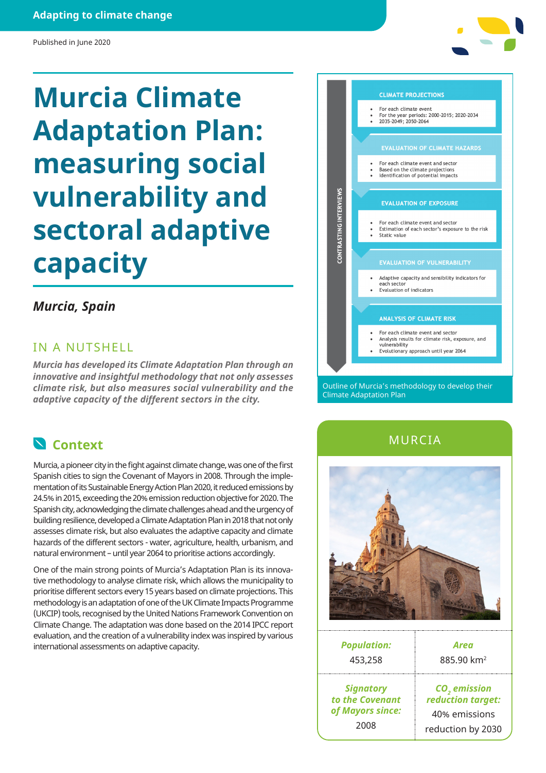#### **Adapting to climate change**

#### Published in June 2020

# **Murcia Climate Adaptation Plan: measuring social vulnerability and sectoral adaptive capacity**

# *Murcia, Spain*

### IN A NUTSHELL

*Murcia has developed its Climate Adaptation Plan through an innovative and insightful methodology that not only assesses climate risk, but also measures social vulnerability and the adaptive capacity of the different sectors in the city.*

# **Context**

Murcia, a pioneer city in the fight against climate change, was one of the first Spanish cities to sign the Covenant of Mayors in 2008. Through the implementation of its Sustainable Energy Action Plan 2020, it reduced emissions by 24.5% in 2015, exceeding the 20% emission reduction objective for 2020. The Spanish city, acknowledging the climate challenges ahead and the urgency of building resilience, developed a Climate Adaptation Plan in 2018 that not only assesses climate risk, but also evaluates the adaptive capacity and climate hazards of the different sectors - water, agriculture, health, urbanism, and natural environment – until year 2064 to prioritise actions accordingly.

One of the main strong points of Murcia's Adaptation Plan is its innovative methodology to analyse climate risk, which allows the municipality to prioritise different sectors every 15 years based on climate projections. This methodology is an adaptation of one of the UK Climate Impacts Programme (UKCIP) tools, recognised by the United Nations Framework Convention on Climate Change. The adaptation was done based on the 2014 IPCC report evaluation, and the creation of a vulnerability index was inspired by various international assessments on adaptive capacity.

Outline of Murcia's methodology to develop their Climate Adaptation Plan

MURCIA



| <b>Population:</b> | Area                     |
|--------------------|--------------------------|
| 453,258            | 885.90 km <sup>2</sup>   |
| <b>Signatory</b>   | CO <sub>2</sub> emission |
| to the Covenant    | reduction target:        |
| of Mayors since:   | 40% emissions            |
| 2008               | reduction by 2030        |